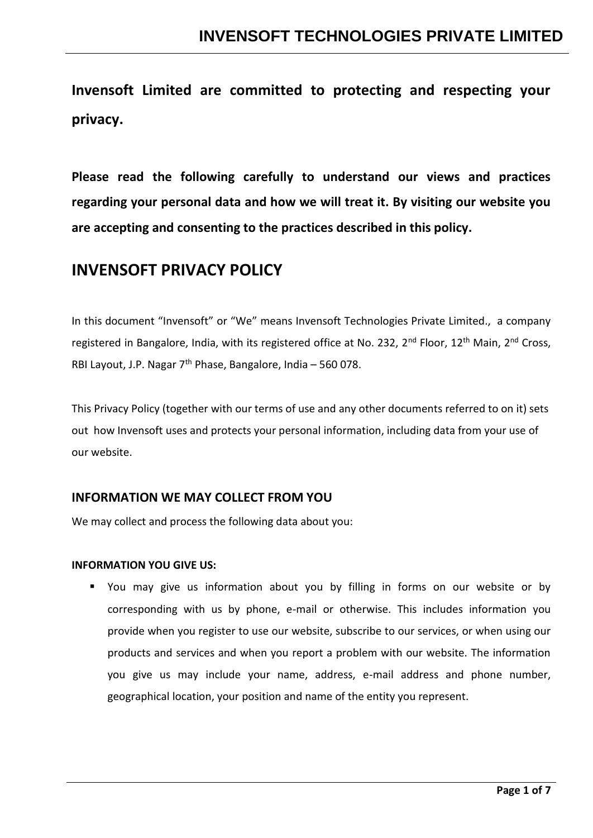**Invensoft Limited are committed to protecting and respecting your privacy.**

**Please read the following carefully to understand our views and practices regarding your personal data and how we will treat it. By visiting our website you are accepting and consenting to the practices described in this policy.**

## **INVENSOFT PRIVACY POLICY**

In this document "Invensoft" or "We" means Invensoft Technologies Private Limited., a company registered in Bangalore, India, with its registered office at No. 232, 2<sup>nd</sup> Floor, 12<sup>th</sup> Main, 2<sup>nd</sup> Cross, RBI Layout, J.P. Nagar 7<sup>th</sup> Phase, Bangalore, India - 560 078.

This Privacy Policy (together with our terms of use and any other documents referred to on it) sets out how Invensoft uses and protects your personal information, including data from your use of our website.

## **INFORMATION WE MAY COLLECT FROM YOU**

We may collect and process the following data about you:

### **INFORMATION YOU GIVE US:**

■ You may give us information about you by filling in forms on our website or by corresponding with us by phone, e-mail or otherwise. This includes information you provide when you register to use our website, subscribe to our services, or when using our products and services and when you report a problem with our website. The information you give us may include your name, address, e-mail address and phone number, geographical location, your position and name of the entity you represent.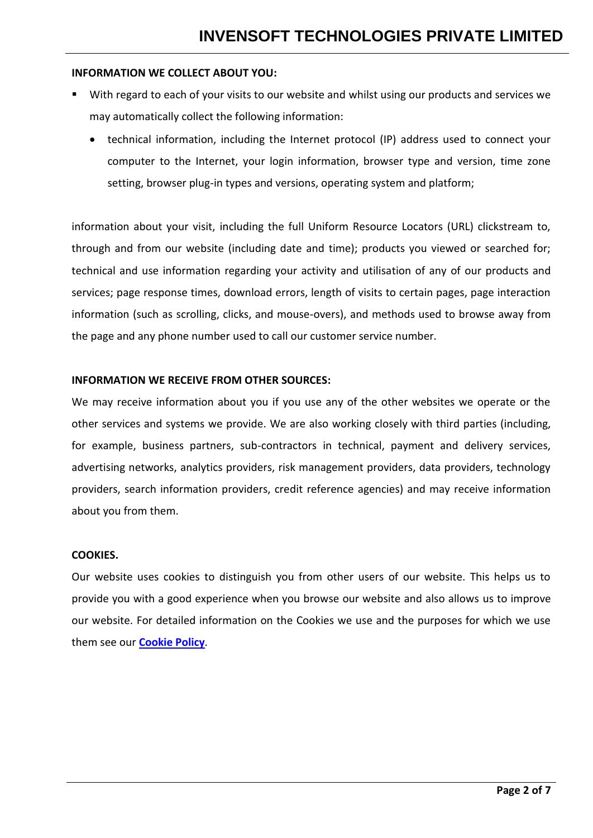### **INFORMATION WE COLLECT ABOUT YOU:**

- With regard to each of your visits to our website and whilst using our products and services we may automatically collect the following information:
	- technical information, including the Internet protocol (IP) address used to connect your computer to the Internet, your login information, browser type and version, time zone setting, browser plug-in types and versions, operating system and platform;

information about your visit, including the full Uniform Resource Locators (URL) clickstream to, through and from our website (including date and time); products you viewed or searched for; technical and use information regarding your activity and utilisation of any of our products and services; page response times, download errors, length of visits to certain pages, page interaction information (such as scrolling, clicks, and mouse-overs), and methods used to browse away from the page and any phone number used to call our customer service number.

### **INFORMATION WE RECEIVE FROM OTHER SOURCES:**

We may receive information about you if you use any of the other websites we operate or the other services and systems we provide. We are also working closely with third parties (including, for example, business partners, sub-contractors in technical, payment and delivery services, advertising networks, analytics providers, risk management providers, data providers, technology providers, search information providers, credit reference agencies) and may receive information about you from them.

### **COOKIES.**

Our website uses cookies to distinguish you from other users of our website. This helps us to provide you with a good experience when you browse our website and also allows us to improve our website. For detailed information on the Cookies we use and the purposes for which we use them see our **[Cookie Policy](http://www.invensoft.co.in/doc/Cookie_Policy.pdf)**.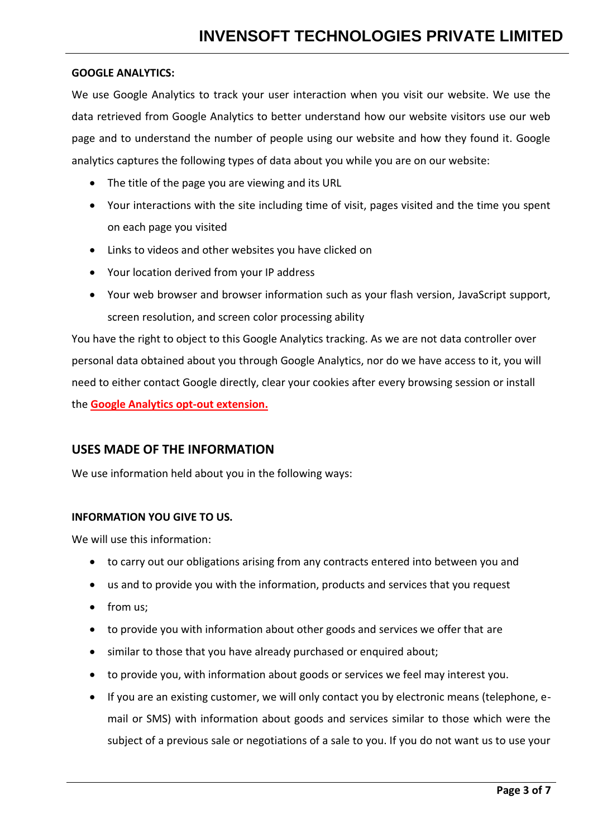### **GOOGLE ANALYTICS:**

We use Google Analytics to track your user interaction when you visit our website. We use the data retrieved from Google Analytics to better understand how our website visitors use our web page and to understand the number of people using our website and how they found it. Google analytics captures the following types of data about you while you are on our website:

- The title of the page you are viewing and its URL
- Your interactions with the site including time of visit, pages visited and the time you spent on each page you visited
- Links to videos and other websites you have clicked on
- Your location derived from your IP address
- Your web browser and browser information such as your flash version, JavaScript support, screen resolution, and screen color processing ability

You have the right to object to this Google Analytics tracking. As we are not data controller over personal data obtained about you through Google Analytics, nor do we have access to it, you will need to either contact Google directly, clear your cookies after every browsing session or install the **Google Analytics opt-out extension.**

## **USES MADE OF THE INFORMATION**

We use information held about you in the following ways:

### **INFORMATION YOU GIVE TO US.**

We will use this information:

- to carry out our obligations arising from any contracts entered into between you and
- us and to provide you with the information, products and services that you request
- from us:
- to provide you with information about other goods and services we offer that are
- similar to those that you have already purchased or enquired about;
- to provide you, with information about goods or services we feel may interest you.
- If you are an existing customer, we will only contact you by electronic means (telephone, email or SMS) with information about goods and services similar to those which were the subject of a previous sale or negotiations of a sale to you. If you do not want us to use your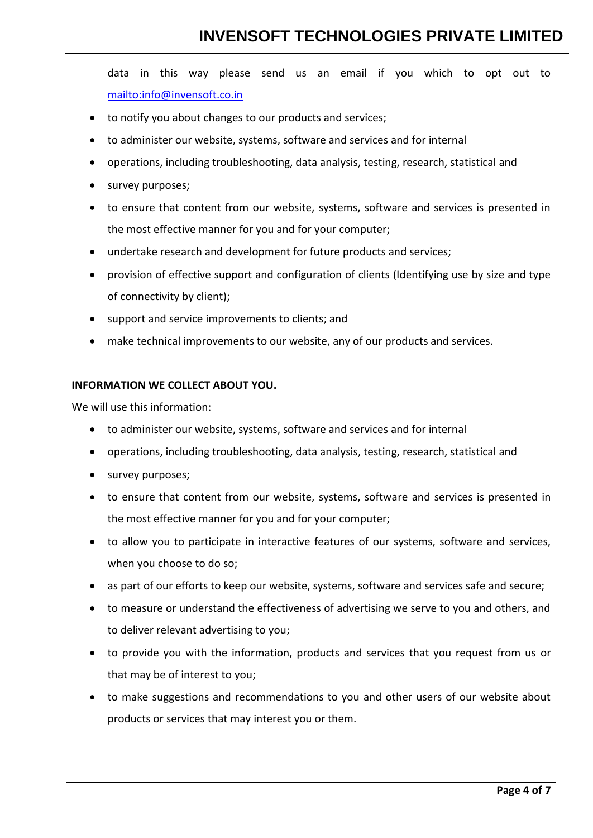# **INVENSOFT TECHNOLOGIES PRIVATE LIMITED**

data in this way please send us an email if you which to opt out to <mailto:info@invensoft.co.in>

- to notify you about changes to our products and services;
- to administer our website, systems, software and services and for internal
- operations, including troubleshooting, data analysis, testing, research, statistical and
- survey purposes;
- to ensure that content from our website, systems, software and services is presented in the most effective manner for you and for your computer;
- undertake research and development for future products and services;
- provision of effective support and configuration of clients (Identifying use by size and type of connectivity by client);
- support and service improvements to clients; and
- make technical improvements to our website, any of our products and services.

#### **INFORMATION WE COLLECT ABOUT YOU.**

We will use this information:

- to administer our website, systems, software and services and for internal
- operations, including troubleshooting, data analysis, testing, research, statistical and
- survey purposes;
- to ensure that content from our website, systems, software and services is presented in the most effective manner for you and for your computer;
- to allow you to participate in interactive features of our systems, software and services, when you choose to do so;
- as part of our efforts to keep our website, systems, software and services safe and secure;
- to measure or understand the effectiveness of advertising we serve to you and others, and to deliver relevant advertising to you;
- to provide you with the information, products and services that you request from us or that may be of interest to you;
- to make suggestions and recommendations to you and other users of our website about products or services that may interest you or them.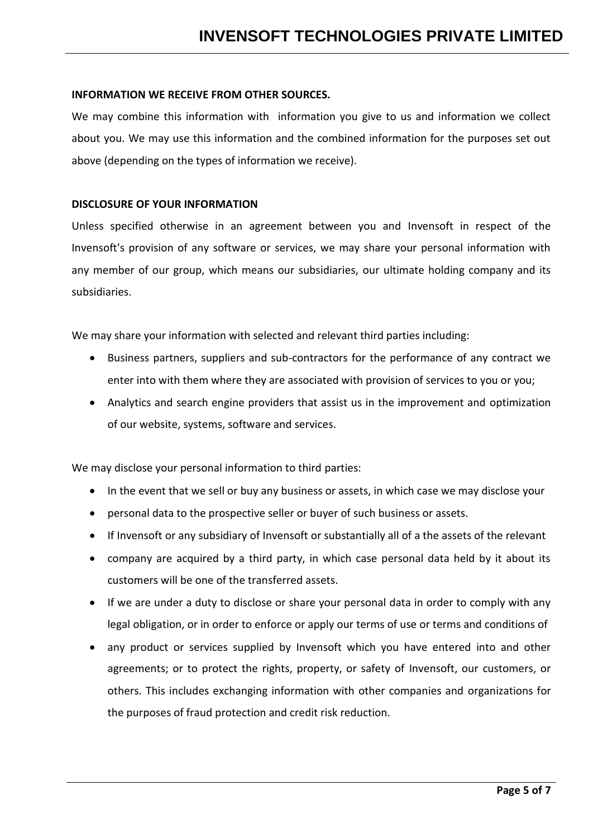### **INFORMATION WE RECEIVE FROM OTHER SOURCES.**

We may combine this information with information you give to us and information we collect about you. We may use this information and the combined information for the purposes set out above (depending on the types of information we receive).

### **DISCLOSURE OF YOUR INFORMATION**

Unless specified otherwise in an agreement between you and Invensoft in respect of the Invensoft's provision of any software or services, we may share your personal information with any member of our group, which means our subsidiaries, our ultimate holding company and its subsidiaries.

We may share your information with selected and relevant third parties including:

- Business partners, suppliers and sub-contractors for the performance of any contract we enter into with them where they are associated with provision of services to you or you;
- Analytics and search engine providers that assist us in the improvement and optimization of our website, systems, software and services.

We may disclose your personal information to third parties:

- In the event that we sell or buy any business or assets, in which case we may disclose your
- personal data to the prospective seller or buyer of such business or assets.
- If Invensoft or any subsidiary of Invensoft or substantially all of a the assets of the relevant
- company are acquired by a third party, in which case personal data held by it about its customers will be one of the transferred assets.
- If we are under a duty to disclose or share your personal data in order to comply with any legal obligation, or in order to enforce or apply our terms of use or terms and conditions of
- any product or services supplied by Invensoft which you have entered into and other agreements; or to protect the rights, property, or safety of Invensoft, our customers, or others. This includes exchanging information with other companies and organizations for the purposes of fraud protection and credit risk reduction.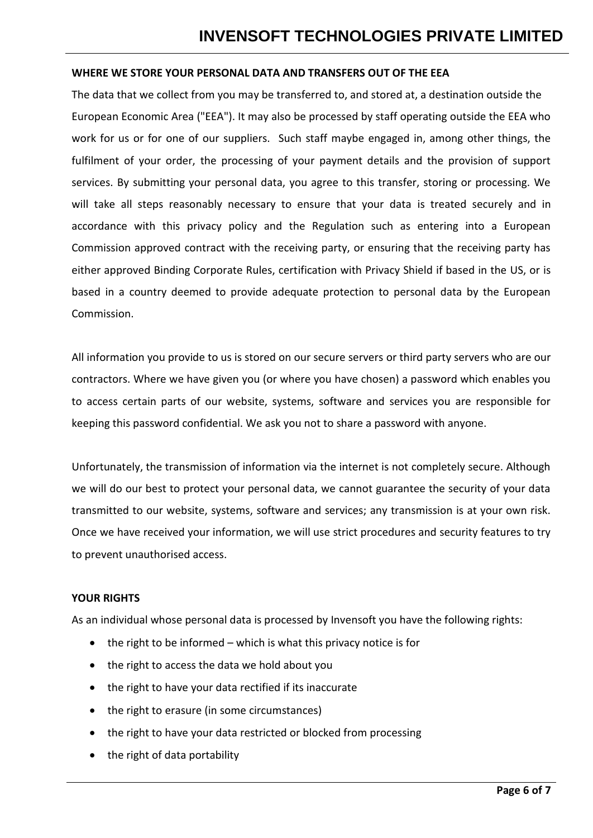### **WHERE WE STORE YOUR PERSONAL DATA AND TRANSFERS OUT OF THE EEA**

The data that we collect from you may be transferred to, and stored at, a destination outside the European Economic Area ("EEA"). It may also be processed by staff operating outside the EEA who work for us or for one of our suppliers. Such staff maybe engaged in, among other things, the fulfilment of your order, the processing of your payment details and the provision of support services. By submitting your personal data, you agree to this transfer, storing or processing. We will take all steps reasonably necessary to ensure that your data is treated securely and in accordance with this privacy policy and the Regulation such as entering into a European Commission approved contract with the receiving party, or ensuring that the receiving party has either approved Binding Corporate Rules, certification with Privacy Shield if based in the US, or is based in a country deemed to provide adequate protection to personal data by the European Commission.

All information you provide to us is stored on our secure servers or third party servers who are our contractors. Where we have given you (or where you have chosen) a password which enables you to access certain parts of our website, systems, software and services you are responsible for keeping this password confidential. We ask you not to share a password with anyone.

Unfortunately, the transmission of information via the internet is not completely secure. Although we will do our best to protect your personal data, we cannot guarantee the security of your data transmitted to our website, systems, software and services; any transmission is at your own risk. Once we have received your information, we will use strict procedures and security features to try to prevent unauthorised access.

### **YOUR RIGHTS**

As an individual whose personal data is processed by Invensoft you have the following rights:

- $\bullet$  the right to be informed which is what this privacy notice is for
- the right to access the data we hold about you
- the right to have your data rectified if its inaccurate
- the right to erasure (in some circumstances)
- the right to have your data restricted or blocked from processing
- the right of data portability